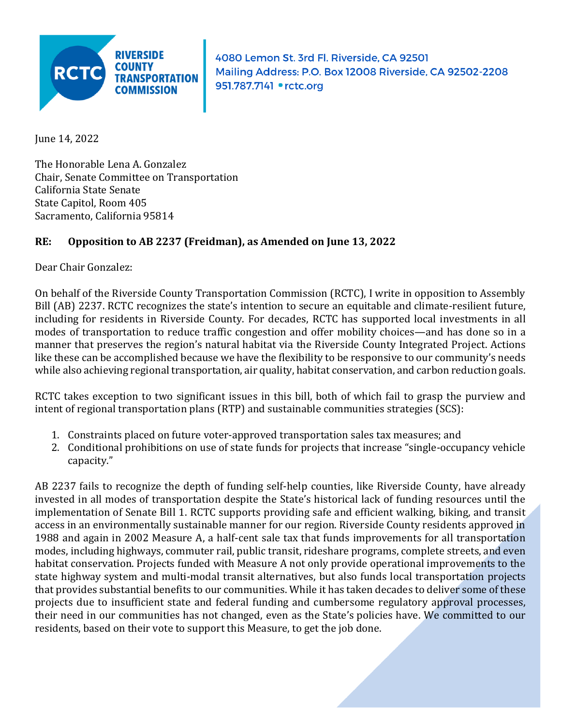

4080 Lemon St. 3rd Fl. Riverside, CA 92501 Mailing Address: P.O. Box 12008 Riverside, CA 92502-2208 951.787.7141 • rctc.org

June 14, 2022

The Honorable Lena A. Gonzalez Chair, Senate Committee on Transportation California State Senate State Capitol, Room 405 Sacramento, California 95814

## **RE: Opposition to AB 2237 (Freidman), as Amended on June 13, 2022**

Dear Chair Gonzalez:

On behalf of the Riverside County Transportation Commission (RCTC), I write in opposition to Assembly Bill (AB) 2237. RCTC recognizes the state's intention to secure an equitable and climate-resilient future, including for residents in Riverside County. For decades, RCTC has supported local investments in all modes of transportation to reduce traffic congestion and offer mobility choices—and has done so in a manner that preserves the region's natural habitat via the Riverside County Integrated Project. Actions like these can be accomplished because we have the flexibility to be responsive to our community's needs while also achieving regional transportation, air quality, habitat conservation, and carbon reduction goals.

RCTC takes exception to two significant issues in this bill, both of which fail to grasp the purview and intent of regional transportation plans (RTP) and sustainable communities strategies (SCS):

- 1. Constraints placed on future voter-approved transportation sales tax measures; and
- 2. Conditional prohibitions on use of state funds for projects that increase "single-occupancy vehicle capacity."

AB 2237 fails to recognize the depth of funding self-help counties, like Riverside County, have already invested in all modes of transportation despite the State's historical lack of funding resources until the implementation of Senate Bill 1. RCTC supports providing safe and efficient walking, biking, and transit access in an environmentally sustainable manner for our region. Riverside County residents approved in 1988 and again in 2002 Measure A, a half-cent sale tax that funds improvements for all transportation modes, including highways, commuter rail, public transit, rideshare programs, complete streets, and even habitat conservation. Projects funded with Measure A not only provide operational improvements to the state highway system and multi-modal transit alternatives, but also funds local transportation projects that provides substantial benefits to our communities. While it has taken decades to deliver some of these projects due to insufficient state and federal funding and cumbersome regulatory approval processes, their need in our communities has not changed, even as the State's policies have. We committed to our residents, based on their vote to support this Measure, to get the job done.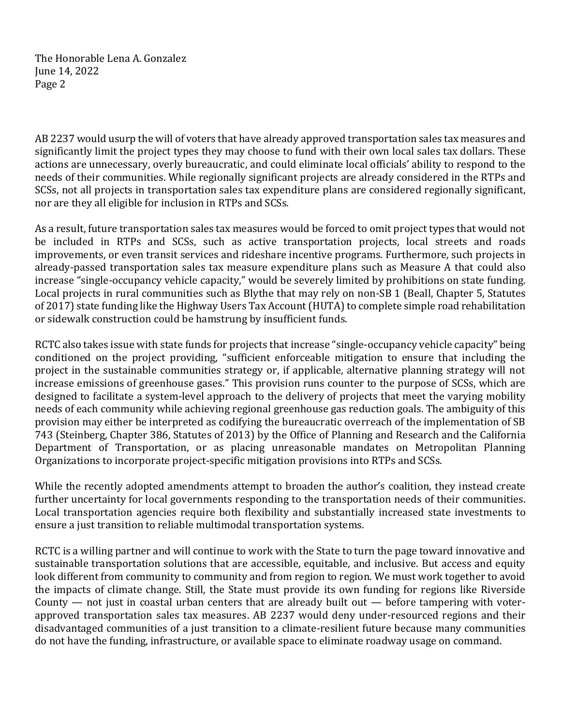The Honorable Lena A. Gonzalez June 14, 2022 Page 2

AB 2237 would usurp the will of voters that have already approved transportation sales tax measures and significantly limit the project types they may choose to fund with their own local sales tax dollars. These actions are unnecessary, overly bureaucratic, and could eliminate local officials' ability to respond to the needs of their communities. While regionally significant projects are already considered in the RTPs and SCSs, not all projects in transportation sales tax expenditure plans are considered regionally significant, nor are they all eligible for inclusion in RTPs and SCSs.

As a result, future transportation sales tax measures would be forced to omit project types that would not be included in RTPs and SCSs, such as active transportation projects, local streets and roads improvements, or even transit services and rideshare incentive programs. Furthermore, such projects in already-passed transportation sales tax measure expenditure plans such as Measure A that could also increase "single-occupancy vehicle capacity," would be severely limited by prohibitions on state funding. Local projects in rural communities such as Blythe that may rely on non-SB 1 (Beall, Chapter 5, Statutes of 2017) state funding like the Highway Users Tax Account (HUTA) to complete simple road rehabilitation or sidewalk construction could be hamstrung by insufficient funds.

RCTC also takes issue with state funds for projects that increase "single-occupancy vehicle capacity" being conditioned on the project providing, "sufficient enforceable mitigation to ensure that including the project in the sustainable communities strategy or, if applicable, alternative planning strategy will not increase emissions of greenhouse gases." This provision runs counter to the purpose of SCSs, which are designed to facilitate a system-level approach to the delivery of projects that meet the varying mobility needs of each community while achieving regional greenhouse gas reduction goals. The ambiguity of this provision may either be interpreted as codifying the bureaucratic overreach of the implementation of SB 743 (Steinberg, Chapter 386, Statutes of 2013) by the Office of Planning and Research and the California Department of Transportation, or as placing unreasonable mandates on Metropolitan Planning Organizations to incorporate project-specific mitigation provisions into RTPs and SCSs.

While the recently adopted amendments attempt to broaden the author's coalition, they instead create further uncertainty for local governments responding to the transportation needs of their communities. Local transportation agencies require both flexibility and substantially increased state investments to ensure a just transition to reliable multimodal transportation systems.

RCTC is a willing partner and will continue to work with the State to turn the page toward innovative and sustainable transportation solutions that are accessible, equitable, and inclusive. But access and equity look different from community to community and from region to region. We must work together to avoid the impacts of climate change. Still, the State must provide its own funding for regions like Riverside County  $-$  not just in coastal urban centers that are already built out  $-$  before tampering with voterapproved transportation sales tax measures. AB 2237 would deny under-resourced regions and their disadvantaged communities of a just transition to a climate-resilient future because many communities do not have the funding, infrastructure, or available space to eliminate roadway usage on command.